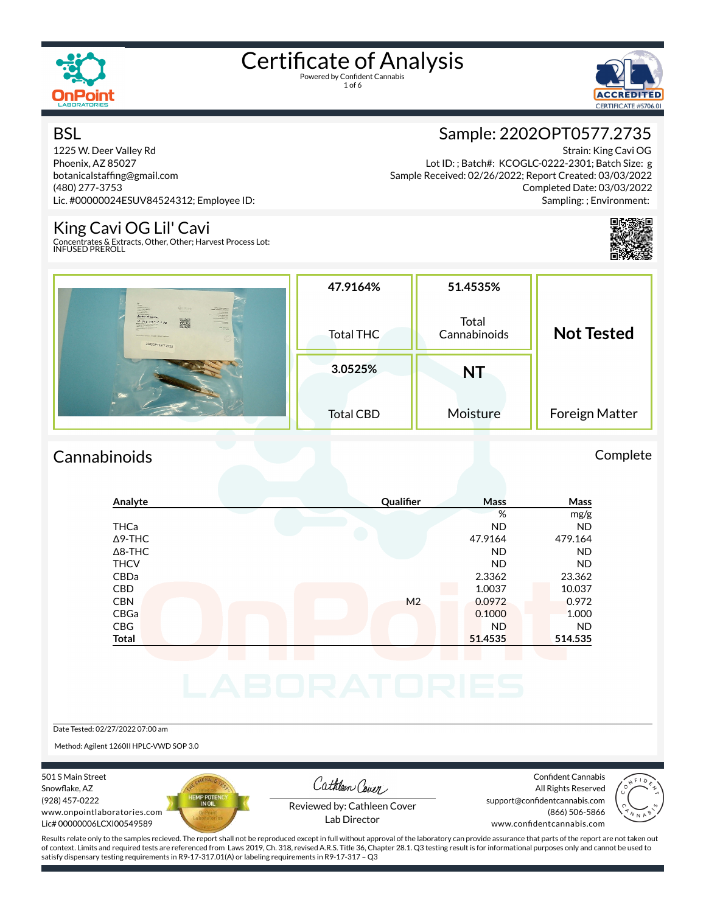

1 of 6



#### **BSL**

1225 W. Deer Valley Rd Phoenix, AZ 85027 botanicalstaffing@gmail.com (480) 277-3753 Lic. #00000024ESUV84524312; Employee ID:

#### King Cavi OG Lil' Cavi

Concentrates & Extracts, Other, Other; Harvest Process Lot: INFUSED PREROLL



Strain: King Cavi OG Lot ID: ; Batch#: KCOGLC-0222-2301; Batch Size: g Sample Received: 02/26/2022; Report Created: 03/03/2022 Completed Date: 03/03/2022 Sampling: ; Environment:



|                                                                                                                                                                                                                                                                                                                                                                                                                                                                                                                                                                                                                                                                                                                                                                                       | 47.9164%         | 51.4535%              |                   |
|---------------------------------------------------------------------------------------------------------------------------------------------------------------------------------------------------------------------------------------------------------------------------------------------------------------------------------------------------------------------------------------------------------------------------------------------------------------------------------------------------------------------------------------------------------------------------------------------------------------------------------------------------------------------------------------------------------------------------------------------------------------------------------------|------------------|-----------------------|-------------------|
| $\frac{1}{2}$<br><b><i><u>Semination</u></i></b><br><b>CanPoint</b><br><b>PPG Lease and LD</b><br><b>CARRY COMMERCIAL CARD AND INC.</b><br><b>SA Distance</b><br><b>Citizendinant</b><br><b>Sales Vices</b><br>Ander Alaura<br><b>MARINE STATE</b><br>2<br>10.7197321122<br><b>STATE</b><br><b>Retailed a senior activity</b><br>$\frac{1}{\sqrt{2}}\sum_{i=1}^{n}\frac{1}{\sqrt{2}}\sum_{i=1}^{n}\frac{1}{\sqrt{2}}\sum_{i=1}^{n}\frac{1}{\sqrt{2}}\sum_{i=1}^{n}\frac{1}{\sqrt{2}}\sum_{i=1}^{n}\frac{1}{\sqrt{2}}\sum_{i=1}^{n}\frac{1}{\sqrt{2}}\sum_{i=1}^{n}\frac{1}{\sqrt{2}}\sum_{i=1}^{n}\frac{1}{\sqrt{2}}\sum_{i=1}^{n}\frac{1}{\sqrt{2}}\sum_{i=1}^{n}\frac{1}{\sqrt{2}}\sum_{i=1}^{n}\frac{1}{\sqrt{2}}\$<br>mention & Louis   shops   metal lugging<br>22020PT0577.2735 | <b>Total THC</b> | Total<br>Cannabinoids | <b>Not Tested</b> |
|                                                                                                                                                                                                                                                                                                                                                                                                                                                                                                                                                                                                                                                                                                                                                                                       | 3.0525%          | NT                    |                   |
| <b>Colori</b>                                                                                                                                                                                                                                                                                                                                                                                                                                                                                                                                                                                                                                                                                                                                                                         | <b>Total CBD</b> | Moisture              | Foreign Matter    |

#### Cannabinoids Complete

#### **Analyte Quali×er Mass Mass** % mg/g THCa ND ND Δ9-THC 47.9164 479.164 Δ8-THC ND ND THCV ND ND CBDa 2.3362 23.362 CBD 1.0037 10.037 CBN M2 0.0972 0.972 CBGa 0.1000 1.000 CBG ND ND **Total 51.4535 514.535**

Date Tested: 02/27/2022 07:00 am

Method: Agilent 1260II HPLC-VWD SOP 3.0

501 S Main Street Snowflake, AZ (928) 457-0222 www.onpointlaboratories.com Lic# 00000006LCXI00549589



Cathleen Cover

Confident Cannabis All Rights Reserved support@confidentcannabis.com (866) 506-5866



Reviewed by: Cathleen Cover Lab Director

www.confidentcannabis.com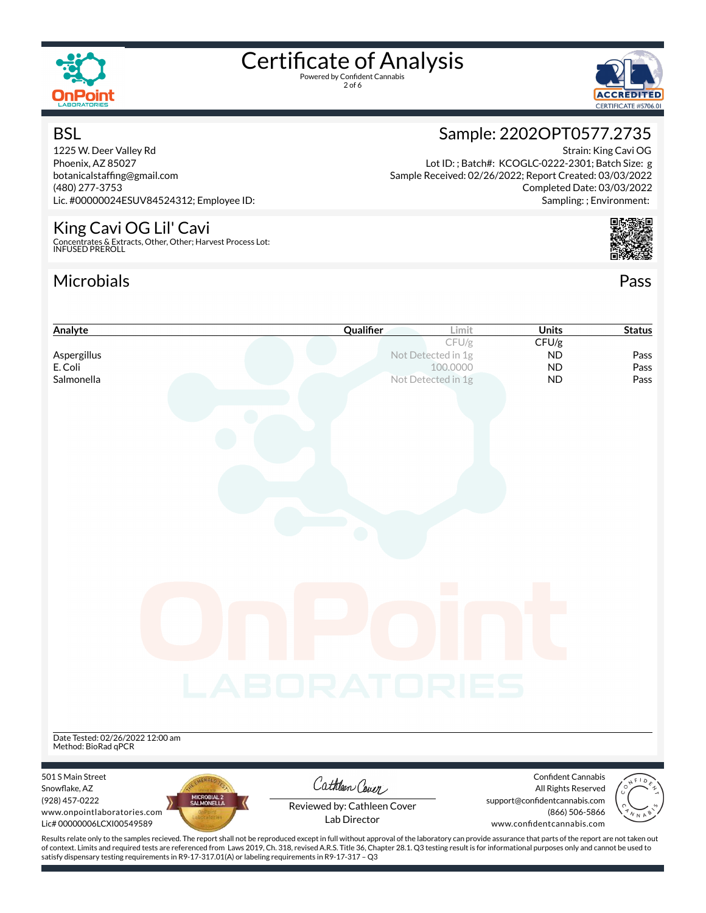

**BSL** 

# Certificate of Analysis

2 of 6



Strain: King Cavi OG

Completed Date: 03/03/2022 Sampling: ; Environment:

## Sample: 2202OPT0577.2735

Lot ID: ; Batch#: KCOGLC-0222-2301; Batch Size: g Sample Received: 02/26/2022; Report Created: 03/03/2022

1225 W. Deer Valley Rd Phoenix, AZ 85027 botanicalstaffing@gmail.com (480) 277-3753 Lic. #00000024ESUV84524312; Employee ID:

#### King Cavi OG Lil' Cavi

Concentrates & Extracts, Other, Other; Harvest Process Lot: INFUSED PREROLL

#### Microbials Pass



| Analyte                                     | Qualifier                   | Limit              | <b>Units</b>                                     | <b>Status</b> |
|---------------------------------------------|-----------------------------|--------------------|--------------------------------------------------|---------------|
|                                             |                             | CFU/g              | CFU/g                                            |               |
| Aspergillus                                 |                             | Not Detected in 1g | <b>ND</b>                                        | Pass          |
| E. Coli                                     |                             | 100.0000           | <b>ND</b>                                        | Pass          |
| Salmonella                                  |                             | Not Detected in 1g | <b>ND</b>                                        | Pass          |
|                                             |                             |                    |                                                  |               |
|                                             |                             |                    |                                                  |               |
|                                             |                             |                    |                                                  |               |
|                                             |                             |                    |                                                  |               |
|                                             |                             |                    |                                                  |               |
|                                             |                             |                    |                                                  |               |
|                                             |                             |                    |                                                  |               |
|                                             |                             |                    |                                                  |               |
|                                             |                             |                    |                                                  |               |
|                                             |                             |                    |                                                  |               |
|                                             |                             |                    |                                                  |               |
|                                             |                             |                    |                                                  |               |
|                                             |                             |                    |                                                  |               |
|                                             |                             |                    |                                                  |               |
|                                             |                             |                    |                                                  |               |
|                                             |                             |                    |                                                  |               |
|                                             |                             |                    |                                                  |               |
|                                             |                             |                    |                                                  |               |
|                                             |                             |                    |                                                  |               |
|                                             |                             |                    |                                                  |               |
|                                             |                             |                    |                                                  |               |
|                                             | LABORATORIES                |                    |                                                  |               |
|                                             |                             |                    |                                                  |               |
|                                             |                             |                    |                                                  |               |
|                                             |                             |                    |                                                  |               |
| Date Tested: 02/26/2022 12:00 am            |                             |                    |                                                  |               |
| Method: BioRad qPCR                         |                             |                    |                                                  |               |
|                                             |                             |                    |                                                  |               |
| 501 S Main Street<br>Snowflake, AZ          | Cathleen Cover              |                    | <b>Confident Cannabis</b><br>All Rights Reserved |               |
| MICROBIAL 2<br>SALMONELLA<br>(928) 457-0222 |                             |                    | support@confidentcannabis.com                    |               |
| www.onpointlaboratories.com                 | Reviewed by: Cathleen Cover |                    | (866) 506-5866                                   |               |
|                                             |                             |                    |                                                  |               |
| Lic#00000006LCXI00549589                    | Lab Director                |                    | www.confidentcannabis.com                        |               |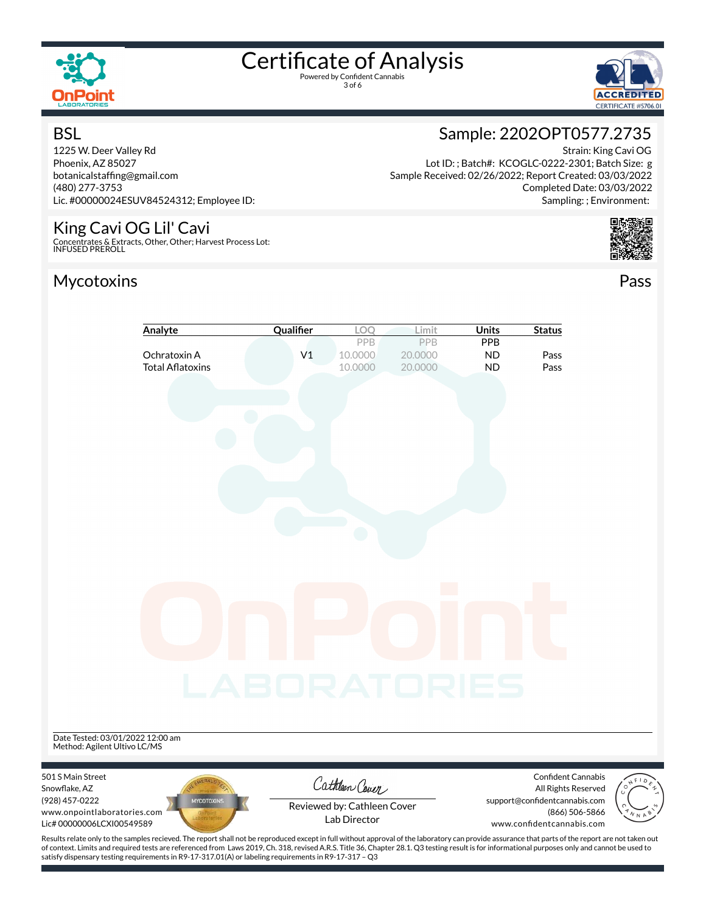

**BSL** 

# Certificate of Analysis

3 of 6



### Sample: 2202OPT0577.2735

Lot ID: ; Batch#: KCOGLC-0222-2301; Batch Size: g Sample Received: 02/26/2022; Report Created: 03/03/2022

1225 W. Deer Valley Rd Phoenix, AZ 85027 botanicalstaffing@gmail.com (480) 277-3753 Lic. #00000024ESUV84524312; Employee ID:

#### King Cavi OG Lil' Cavi

Concentrates & Extracts, Other, Other; Harvest Process Lot: INFUSED PREROLL

#### Mycotoxins Pass



Strain: King Cavi OG



| Analyte                                                                                         | Qualifier      | LOO                                         | Limit                     | <b>Units</b>                  | <b>Status</b>                                                                |  |
|-------------------------------------------------------------------------------------------------|----------------|---------------------------------------------|---------------------------|-------------------------------|------------------------------------------------------------------------------|--|
| Ochratoxin A<br><b>Total Aflatoxins</b>                                                         | V <sub>1</sub> | PPB<br>10.0000<br>10.0000                   | PPB<br>20.0000<br>20.0000 | PPB<br><b>ND</b><br><b>ND</b> | Pass<br>Pass                                                                 |  |
|                                                                                                 |                |                                             |                           |                               |                                                                              |  |
|                                                                                                 |                |                                             |                           |                               |                                                                              |  |
|                                                                                                 |                |                                             |                           |                               |                                                                              |  |
|                                                                                                 |                |                                             |                           |                               |                                                                              |  |
|                                                                                                 |                |                                             |                           |                               |                                                                              |  |
|                                                                                                 |                |                                             |                           |                               |                                                                              |  |
|                                                                                                 | LABORATORIES   |                                             |                           |                               |                                                                              |  |
| Date Tested: 03/01/2022 12:00 am<br>Method: Agilent Ultivo LC/MS                                |                |                                             |                           |                               |                                                                              |  |
| 501 S Main Street<br>Snowflake, AZ                                                              |                | Cathleen Cover                              |                           |                               | Confident Cannabis<br>All Rights Reserved                                    |  |
| (928) 457-0222<br><b>MYCOTOXINS</b><br>www.onpointlaboratories.com<br>Lic# 00000006LCXI00549589 |                | Reviewed by: Cathleen Cover<br>Lab Director |                           |                               | support@confidentcannabis.com<br>(866) 506-5866<br>www.confidentcannabis.com |  |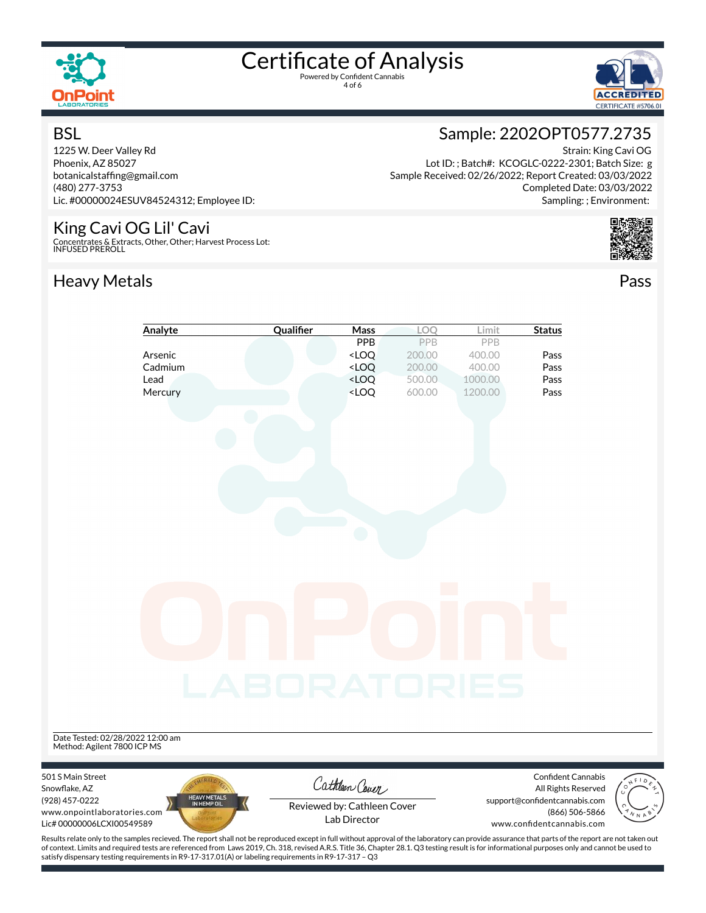

4 of 6



#### **BSL**

1225 W. Deer Valley Rd Phoenix, AZ 85027 botanicalstaffing@gmail.com (480) 277-3753 Lic. #00000024ESUV84524312; Employee ID:

#### King Cavi OG Lil' Cavi

Concentrates & Extracts, Other, Other; Harvest Process Lot: INFUSED PREROLL

### Heavy Metals **Pass**

### Sample: 2202OPT0577.2735

Strain: King Cavi OG Lot ID: ; Batch#: KCOGLC-0222-2301; Batch Size: g Sample Received: 02/26/2022; Report Created: 03/03/2022 Completed Date: 03/03/2022 Sampling: ; Environment:



| Analyte                                                                                                                                                                                                                                                                                                                                               | Qualifier           | Mass                                                                                                      | LOQ              | Limit             | <b>Status</b>                                                                                                             |
|-------------------------------------------------------------------------------------------------------------------------------------------------------------------------------------------------------------------------------------------------------------------------------------------------------------------------------------------------------|---------------------|-----------------------------------------------------------------------------------------------------------|------------------|-------------------|---------------------------------------------------------------------------------------------------------------------------|
|                                                                                                                                                                                                                                                                                                                                                       |                     | PPB                                                                                                       | PPB              | PPB               |                                                                                                                           |
| Arsenic                                                                                                                                                                                                                                                                                                                                               |                     | <loq< th=""><th>200.00</th><th>400.00</th><th>Pass</th></loq<>                                            | 200.00           | 400.00            | Pass                                                                                                                      |
| Cadmium<br>Lead                                                                                                                                                                                                                                                                                                                                       |                     | $<$ LOQ<br><loq< th=""><th>200.00<br/>500.00</th><th>400.00<br/>1000.00</th><th>Pass<br/>Pass</th></loq<> | 200.00<br>500.00 | 400.00<br>1000.00 | Pass<br>Pass                                                                                                              |
| Mercury                                                                                                                                                                                                                                                                                                                                               |                     | <loq< th=""><th>600.00</th><th>1200.00</th><th>Pass</th></loq<>                                           | 600.00           | 1200.00           | Pass                                                                                                                      |
|                                                                                                                                                                                                                                                                                                                                                       |                     |                                                                                                           |                  |                   |                                                                                                                           |
|                                                                                                                                                                                                                                                                                                                                                       |                     |                                                                                                           |                  |                   |                                                                                                                           |
| Date Tested: 02/28/2022 12:00 am<br>Method: Agilent 7800 ICP MS                                                                                                                                                                                                                                                                                       | <b>_ABORATORIES</b> |                                                                                                           |                  |                   |                                                                                                                           |
| 501 S Main Street<br>Snowflake, AZ<br>HEAVY METALS<br>IN HEMP OIL<br>(928) 457-0222<br>www.onpointlaboratories.com<br>Lic# 00000006LCXI00549589<br>Results relate only to the samples recieved. The report shall not be reproduced except in full without approval of the laboratory can provide assurance that parts of the report are not taken out |                     | Cathleen Cover<br>Reviewed by: Cathleen Cover<br>Lab Director                                             |                  |                   | Confident Cannabis<br>All Rights Reserved<br>support@confidentcannabis.com<br>(866) 506-5866<br>www.confidentcannabis.com |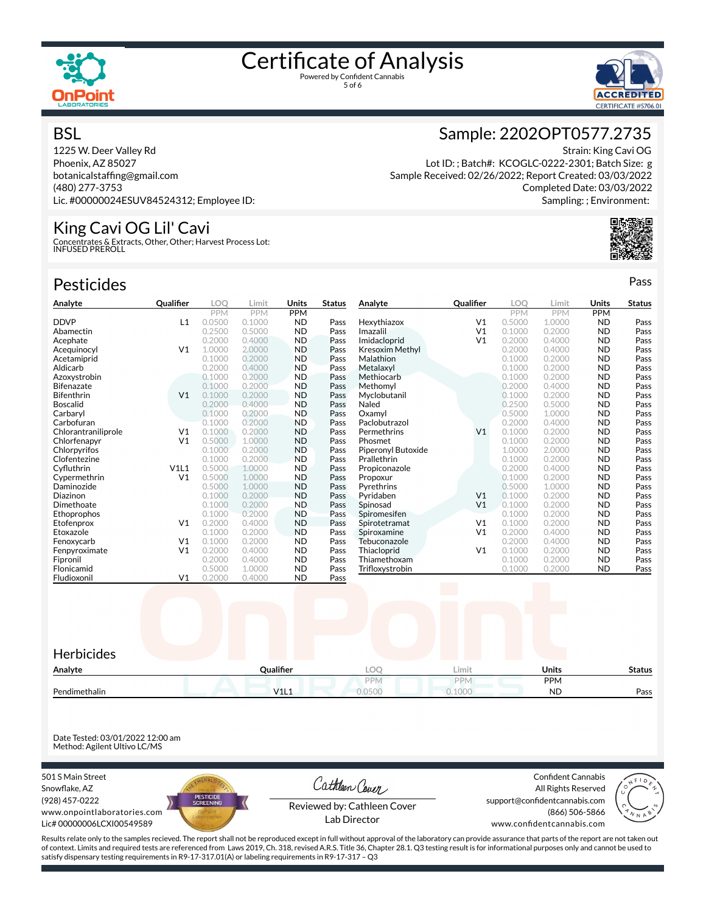



#### **BSL**

1225 W. Deer Valley Rd Phoenix, AZ 85027 botanicalstaffing@gmail.com (480) 277-3753 Lic. #00000024ESUV84524312; Employee ID:

#### King Cavi OG Lil' Cavi

Concentrates & Extracts, Other, Other; Harvest Process Lot: INFUSED PREROLL

| <b>Pesticides</b>   |                  |            |            |            |               |                    |                  |            |            |            | Pass          |
|---------------------|------------------|------------|------------|------------|---------------|--------------------|------------------|------------|------------|------------|---------------|
| Analyte             | <b>Qualifier</b> | LOO        | Limit      | Units      | <b>Status</b> | Analyte            | <b>Qualifier</b> | LOO        | Limit      | Units      | <b>Status</b> |
|                     |                  | <b>PPM</b> | <b>PPM</b> | <b>PPM</b> |               |                    |                  | <b>PPM</b> | <b>PPM</b> | <b>PPM</b> |               |
| <b>DDVP</b>         | L1               | 0.0500     | 0.1000     | <b>ND</b>  | Pass          | Hexythiazox        | V <sub>1</sub>   | 0.5000     | 1.0000     | <b>ND</b>  | Pass          |
| Abamectin           |                  | 0.2500     | 0.5000     | <b>ND</b>  | Pass          | Imazalil           | V <sub>1</sub>   | 0.1000     | 0.2000     | <b>ND</b>  | Pass          |
| Acephate            |                  | 0.2000     | 0.4000     | <b>ND</b>  | Pass          | Imidacloprid       | V <sub>1</sub>   | 0.2000     | 0.4000     | <b>ND</b>  | Pass          |
| Acequinocyl         | V <sub>1</sub>   | 1.0000     | 2.0000     | <b>ND</b>  | Pass          | Kresoxim Methyl    |                  | 0.2000     | 0.4000     | <b>ND</b>  | Pass          |
| Acetamiprid         |                  | 0.1000     | 0.2000     | <b>ND</b>  | Pass          | Malathion          |                  | 0.1000     | 0.2000     | <b>ND</b>  | Pass          |
| Aldicarb            |                  | 0.2000     | 0.4000     | <b>ND</b>  | Pass          | Metalaxyl          |                  | 0.1000     | 0.2000     | <b>ND</b>  | Pass          |
| Azoxystrobin        |                  | 0.1000     | 0.2000     | <b>ND</b>  | Pass          | Methiocarb         |                  | 0.1000     | 0.2000     | <b>ND</b>  | Pass          |
| Bifenazate          |                  | 0.1000     | 0.2000     | <b>ND</b>  | Pass          | Methomyl           |                  | 0.2000     | 0.4000     | <b>ND</b>  | Pass          |
| Bifenthrin          | V <sub>1</sub>   | 0.1000     | 0.2000     | <b>ND</b>  | Pass          | Myclobutanil       |                  | 0.1000     | 0.2000     | <b>ND</b>  | Pass          |
| Boscalid            |                  | 0.2000     | 0.4000     | <b>ND</b>  | Pass          | Naled              |                  | 0.2500     | 0.5000     | <b>ND</b>  | Pass          |
| Carbaryl            |                  | 0.1000     | 0.2000     | <b>ND</b>  | Pass          | Oxamvl             |                  | 0.5000     | 1.0000     | <b>ND</b>  | Pass          |
| Carbofuran          |                  | 0.1000     | 0.2000     | <b>ND</b>  | Pass          | Paclobutrazol      |                  | 0.2000     | 0.4000     | <b>ND</b>  | Pass          |
| Chlorantraniliprole | V <sub>1</sub>   | 0.1000     | 0.2000     | <b>ND</b>  | Pass          | Permethrins        | V <sub>1</sub>   | 0.1000     | 0.2000     | <b>ND</b>  | Pass          |
| Chlorfenapyr        | V <sub>1</sub>   | 0.5000     | 1.0000     | <b>ND</b>  | Pass          | Phosmet            |                  | 0.1000     | 0.2000     | <b>ND</b>  | Pass          |
| Chlorpyrifos        |                  | 0.1000     | 0.2000     | <b>ND</b>  | Pass          | Piperonyl Butoxide |                  | 1.0000     | 2.0000     | <b>ND</b>  | Pass          |
| Clofentezine        |                  | 0.1000     | 0.2000     | <b>ND</b>  | Pass          | Prallethrin        |                  | 0.1000     | 0.2000     | <b>ND</b>  | Pass          |
| Cyfluthrin          | V1L1             | 0.5000     | 1.0000     | <b>ND</b>  | Pass          | Propiconazole      |                  | 0.2000     | 0.4000     | <b>ND</b>  | Pass          |
| Cypermethrin        | V <sub>1</sub>   | 0.5000     | 1.0000     | <b>ND</b>  | Pass          | Propoxur           |                  | 0.1000     | 0.2000     | <b>ND</b>  | Pass          |
| Daminozide          |                  | 0.5000     | 1.0000     | <b>ND</b>  | Pass          | Pyrethrins         |                  | 0.5000     | 1.0000     | <b>ND</b>  | Pass          |
| Diazinon            |                  | 0.1000     | 0.2000     | <b>ND</b>  | Pass          | Pyridaben          | V <sub>1</sub>   | 0.1000     | 0.2000     | <b>ND</b>  | Pass          |
| Dimethoate          |                  | 0.1000     | 0.2000     | <b>ND</b>  | Pass          | Spinosad           | V <sub>1</sub>   | 0.1000     | 0.2000     | <b>ND</b>  | Pass          |
| Ethoprophos         |                  | 0.1000     | 0.2000     | <b>ND</b>  | Pass          | Spiromesifen       |                  | 0.1000     | 0.2000     | <b>ND</b>  | Pass          |
| Etofenprox          | V <sub>1</sub>   | 0.2000     | 0.4000     | <b>ND</b>  | Pass          | Spirotetramat      | V <sub>1</sub>   | 0.1000     | 0.2000     | <b>ND</b>  | Pass          |
| Etoxazole           |                  | 0.1000     | 0.2000     | <b>ND</b>  | Pass          | Spiroxamine        | V <sub>1</sub>   | 0.2000     | 0.4000     | <b>ND</b>  | Pass          |
| Fenoxycarb          | V <sub>1</sub>   | 0.1000     | 0.2000     | <b>ND</b>  | Pass          | Tebuconazole       |                  | 0.2000     | 0.4000     | <b>ND</b>  | Pass          |
| Fenpyroximate       | V <sub>1</sub>   | 0.2000     | 0.4000     | <b>ND</b>  | Pass          | Thiacloprid        | V <sub>1</sub>   | 0.1000     | 0.2000     | <b>ND</b>  | Pass          |
| Fipronil            |                  | 0.2000     | 0.4000     | <b>ND</b>  | Pass          | Thiamethoxam       |                  | 0.1000     | 0.2000     | <b>ND</b>  | Pass          |
| Flonicamid          |                  | 0.5000     | 1.0000     | <b>ND</b>  | Pass          | Trifloxystrobin    |                  | 0.1000     | 0.2000     | <b>ND</b>  | Pass          |
| Fludioxonil         | V <sub>1</sub>   | 0.2000     | 0.4000     | <b>ND</b>  | Pass          |                    |                  |            |            |            |               |



Date Tested: 03/01/2022 12:00 am Method: Agilent Ultivo LC/MS

501 S Main Street Snowflake, AZ (928) 457-0222 www.onpointlaboratories.com Lic# 00000006LCXI00549589



Cathleen Cover Reviewed by: Cathleen Cover

Lab Director

Confident Cannabis All Rights Reserved support@confidentcannabis.com (866) 506-5866



www.confidentcannabis.com

Results relate only to the samples recieved. The report shall not be reproduced except in full without approval of the laboratory can provide assurance that parts of the report are not taken out of context. Limits and required tests are referenced from Laws 2019, Ch. 318, revised A.R.S. Title 36, Chapter 28.1. Q3 testing result is for informational purposes only and cannot be used to satisfy dispensary testing requirements in R9-17-317.01(A) or labeling requirements in R9-17-317 – Q3

#### Sample: 2202OPT0577.2735

Strain: King Cavi OG Lot ID: ; Batch#: KCOGLC-0222-2301; Batch Size: g Sample Received: 02/26/2022; Report Created: 03/03/2022 Completed Date: 03/03/2022 Sampling: ; Environment: